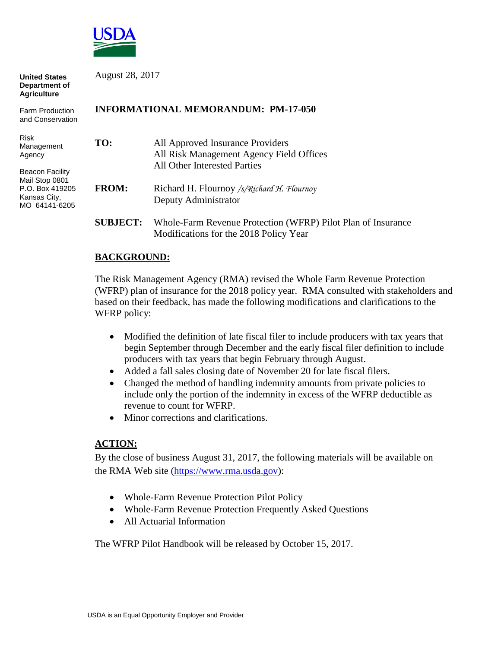

| <b>United States</b><br>Department of<br><b>Agriculture</b>                                                                         | August 28, 2017                            |                                                                                                              |
|-------------------------------------------------------------------------------------------------------------------------------------|--------------------------------------------|--------------------------------------------------------------------------------------------------------------|
| <b>Farm Production</b><br>and Conservation                                                                                          | <b>INFORMATIONAL MEMORANDUM: PM-17-050</b> |                                                                                                              |
| <b>Risk</b><br>Management<br>Agency<br><b>Beacon Facility</b><br>Mail Stop 0801<br>P.O. Box 419205<br>Kansas City,<br>MO 64141-6205 | TO:                                        | All Approved Insurance Providers<br>All Risk Management Agency Field Offices<br>All Other Interested Parties |
|                                                                                                                                     | <b>FROM:</b>                               | Richard H. Flournoy /s/Richard H. Flournoy<br>Deputy Administrator                                           |
|                                                                                                                                     | <b>SUBJECT:</b>                            | Whole-Farm Revenue Protection (WFRP) Pilot Plan of Insurance<br>Modifications for the 2018 Policy Year       |

## **BACKGROUND:**

The Risk Management Agency (RMA) revised the Whole Farm Revenue Protection (WFRP) plan of insurance for the 2018 policy year. RMA consulted with stakeholders and based on their feedback, has made the following modifications and clarifications to the WFRP policy:

- Modified the definition of late fiscal filer to include producers with tax years that begin September through December and the early fiscal filer definition to include producers with tax years that begin February through August.
- Added a fall sales closing date of November 20 for late fiscal filers.
- Changed the method of handling indemnity amounts from private policies to include only the portion of the indemnity in excess of the WFRP deductible as revenue to count for WFRP.
- Minor corrections and clarifications.

## **ACTION:**

By the close of business August 31, 2017, the following materials will be available on the RMA Web site (https[://www.rma.usda.](https://www.rma.usda.gov/)gov):

- Whole-Farm Revenue Protection Pilot Policy
- Whole-Farm Revenue Protection Frequently Asked Questions
- [All Actuarial Information](http://webapp.rma.usda.gov/apps/actuarialinformationbrowser/)

The WFRP Pilot Handbook will be released by October 15, 2017.